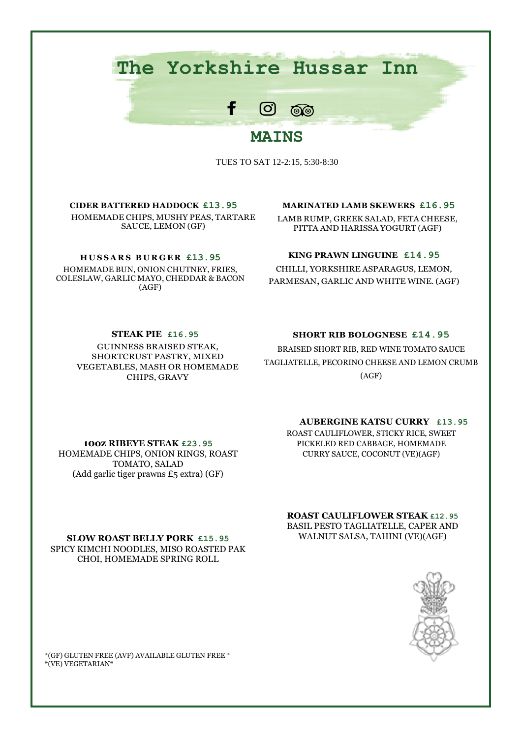# **The Yorkshire Hussar Inn**

f

# $[O]$ ෧෧ **MAINS**

TUES TO SAT 12-2:15, 5:30-8:30

**CIDER BATTERED HADDOCK £13.95** HOMEMADE CHIPS, MUSHY PEAS, TARTARE SAUCE, LEMON (GF)

#### **H U S S A R S B U R G E R £13.95**

HOMEMADE BUN, ONION CHUTNEY, FRIES, COLESLAW, GARLIC MAYO, CHEDDAR & BACON (AGF)

#### **MARINATED LAMB SKEWERS £16.95**

LAMB RUMP, GREEK SALAD, FETA CHEESE, PITTA AND HARISSA YOGURT (AGF)

#### **KING PRAWN LINGUINE £14.95**

CHILLI, YORKSHIRE ASPARAGUS, LEMON, PARMESAN, GARLIC AND WHITE WINE. (AGF)

**STEAK PIE £16.95**

GUINNESS BRAISED STEAK, SHORTCRUST PASTRY, MIXED VEGETABLES, MASH OR HOMEMADE CHIPS, GRAVY

#### **SHORT RIB BOLOGNESE £14.95**

BRAISED SHORT RIB, RED WINE TOMATO SAUCE TAGLIATELLE, PECORINO CHEESE AND LEMON CRUMB (AGF)

## **AUBERGINE KATSU CURRY £13.95**

ROAST CAULIFLOWER, STICKY RICE, SWEET PICKELED RED CABBAGE, HOMEMADE CURRY SAUCE, COCONUT (VE)(AGF)

**ROAST CAULIFLOWER STEAK £12.95** BASIL PESTO TAGLIATELLE, CAPER AND WALNUT SALSA, TAHINI (VE)(AGF)



HOMEMADE CHIPS, ONION RINGS, ROAST TOMATO, SALAD (Add garlic tiger prawns £5 extra) (GF)

**10oz RIBEYE STEAK £23.95**

**SLOW ROAST BELLY PORK £15.95** SPICY KIMCHI NOODLES, MISO ROASTED PAK CHOI, HOMEMADE SPRING ROLL

\*(GF) GLUTEN FREE (AVF) AVAILABLE GLUTEN FREE \* \*(VE) VEGETARIAN\*